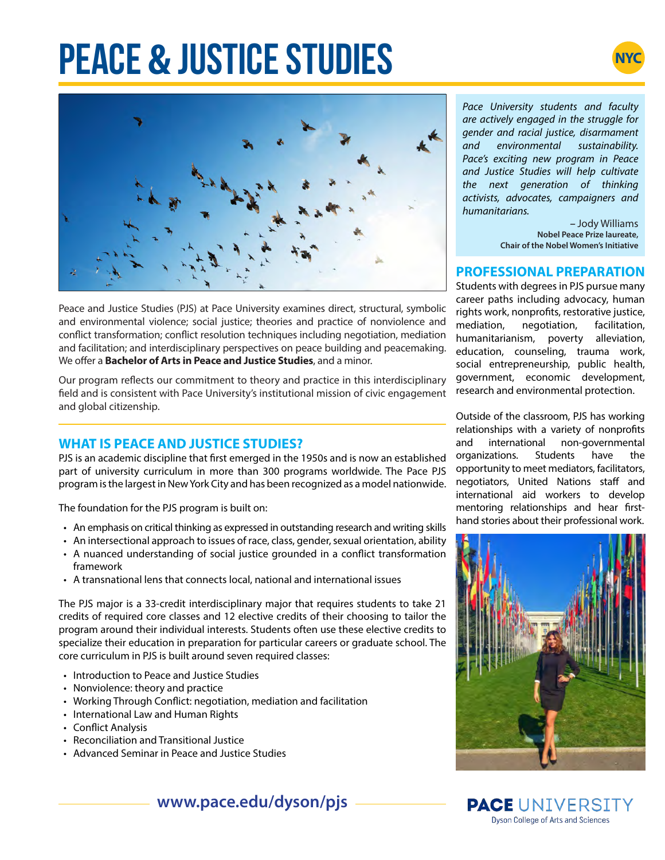# **PEACE & JUSTICE STUDIES**





Peace and Justice Studies (PJS) at Pace University examines direct, structural, symbolic and environmental violence; social justice; theories and practice of nonviolence and conflict transformation; conflict resolution techniques including negotiation, mediation and facilitation; and interdisciplinary perspectives on peace building and peacemaking. We offer a **Bachelor of Arts in Peace and Justice Studies**, and a minor.

Our program reflects our commitment to theory and practice in this interdisciplinary field and is consistent with Pace University's institutional mission of civic engagement and global citizenship.

### **WHAT IS PEACE AND JUSTICE STUDIES?**

PJS is an academic discipline that first emerged in the 1950s and is now an established part of university curriculum in more than 300 programs worldwide. The Pace PJS program is the largest in New York City and has been recognized as a model nationwide.

The foundation for the PJS program is built on:

- An emphasis on critical thinking as expressed in outstanding research and writing skills
- An intersectional approach to issues of race, class, gender, sexual orientation, ability
- A nuanced understanding of social justice grounded in a conflict transformation framework
- A transnational lens that connects local, national and international issues

The PJS major is a 33-credit interdisciplinary major that requires students to take 21 credits of required core classes and 12 elective credits of their choosing to tailor the program around their individual interests. Students often use these elective credits to specialize their education in preparation for particular careers or graduate school. The core curriculum in PJS is built around seven required classes:

- Introduction to Peace and Justice Studies
- Nonviolence: theory and practice
- Working Through Conflict: negotiation, mediation and facilitation
- International Law and Human Rights
- Conflict Analysis
- Reconciliation and Transitional Justice
- Advanced Seminar in Peace and Justice Studies

*Pace University students and faculty are actively engaged in the struggle for gender and racial justice, disarmament and environmental sustainability. Pace's exciting new program in Peace and Justice Studies will help cultivate the next generation of thinking activists, advocates, campaigners and humanitarians.*

> *–* Jody Williams **Nobel Peace Prize laureate, Chair of the Nobel Women's Initiative**

#### **PROFESSIONAL PREPARATION**

Students with degrees in PJS pursue many career paths including advocacy, human rights work, nonprofits, restorative justice, mediation, negotiation, facilitation, humanitarianism, poverty alleviation, education, counseling, trauma work, social entrepreneurship, public health, government, economic development, research and environmental protection.

Outside of the classroom, PJS has working relationships with a variety of nonprofits and international non-governmental organizations. Students have the opportunity to meet mediators, facilitators, negotiators, United Nations staff and international aid workers to develop mentoring relationships and hear firsthand stories about their professional work.



**PACE UNIVERSITY Dyson College of Arts and Sciences**